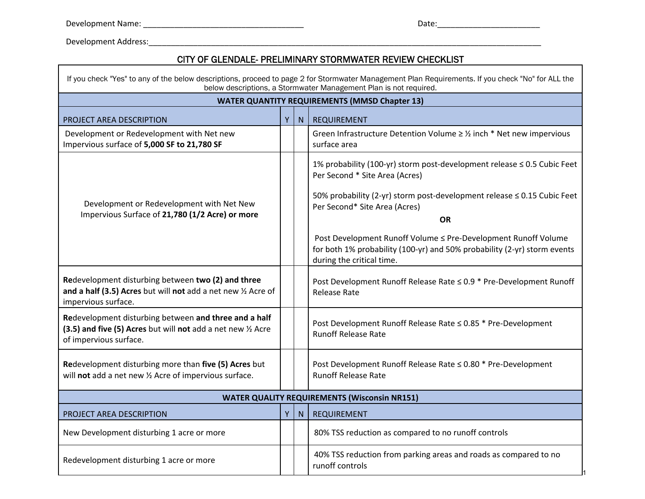Development Address:\_\_\_\_\_\_\_\_\_\_\_\_\_\_\_\_\_\_\_\_\_\_\_\_\_\_\_\_\_\_\_\_\_\_\_\_\_\_\_\_\_\_\_\_\_\_\_\_\_\_\_\_\_\_\_\_\_\_\_\_\_\_\_\_\_\_\_\_\_\_\_\_\_\_\_\_\_\_\_\_\_\_\_\_\_\_\_\_

 $\Gamma$ 

## CITY OF GLENDALE- PRELIMINARY STORMWATER REVIEW CHECKLIST

| If you check "Yes" to any of the below descriptions, proceed to page 2 for Stormwater Management Plan Requirements. If you check "No" for ALL the<br>below descriptions, a Stormwater Management Plan is not required. |    |   |                                                                                                                                                                                                                                    |  |  |
|------------------------------------------------------------------------------------------------------------------------------------------------------------------------------------------------------------------------|----|---|------------------------------------------------------------------------------------------------------------------------------------------------------------------------------------------------------------------------------------|--|--|
| <b>WATER QUANTITY REQUIREMENTS (MMSD Chapter 13)</b>                                                                                                                                                                   |    |   |                                                                                                                                                                                                                                    |  |  |
| <b>PROJECT AREA DESCRIPTION</b>                                                                                                                                                                                        | Y. | N | <b>REQUIREMENT</b>                                                                                                                                                                                                                 |  |  |
| Development or Redevelopment with Net new<br>Impervious surface of 5,000 SF to 21,780 SF                                                                                                                               |    |   | Green Infrastructure Detention Volume $\geq$ 1/2 inch * Net new impervious<br>surface area                                                                                                                                         |  |  |
| Development or Redevelopment with Net New<br>Impervious Surface of 21,780 (1/2 Acre) or more                                                                                                                           |    |   | 1% probability (100-yr) storm post-development release ≤ 0.5 Cubic Feet<br>Per Second * Site Area (Acres)<br>50% probability (2-yr) storm post-development release ≤ 0.15 Cubic Feet<br>Per Second* Site Area (Acres)<br><b>OR</b> |  |  |
|                                                                                                                                                                                                                        |    |   | Post Development Runoff Volume ≤ Pre-Development Runoff Volume<br>for both 1% probability (100-yr) and 50% probability (2-yr) storm events<br>during the critical time.                                                            |  |  |
| Redevelopment disturbing between two (2) and three<br>and a half (3.5) Acres but will not add a net new $\frac{1}{2}$ Acre of<br>impervious surface.                                                                   |    |   | Post Development Runoff Release Rate ≤ 0.9 * Pre-Development Runoff<br><b>Release Rate</b>                                                                                                                                         |  |  |
| Redevelopment disturbing between and three and a half<br>(3.5) and five (5) Acres but will not add a net new 1/2 Acre<br>of impervious surface.                                                                        |    |   | Post Development Runoff Release Rate ≤ 0.85 * Pre-Development<br><b>Runoff Release Rate</b>                                                                                                                                        |  |  |
| Redevelopment disturbing more than five (5) Acres but<br>will not add a net new 1/2 Acre of impervious surface.                                                                                                        |    |   | Post Development Runoff Release Rate ≤ 0.80 * Pre-Development<br><b>Runoff Release Rate</b>                                                                                                                                        |  |  |
| <b>WATER QUALITY REQUIREMENTS (Wisconsin NR151)</b>                                                                                                                                                                    |    |   |                                                                                                                                                                                                                                    |  |  |
| PROJECT AREA DESCRIPTION                                                                                                                                                                                               | Y  | N | <b>REQUIREMENT</b>                                                                                                                                                                                                                 |  |  |
| New Development disturbing 1 acre or more                                                                                                                                                                              |    |   | 80% TSS reduction as compared to no runoff controls                                                                                                                                                                                |  |  |
| Redevelopment disturbing 1 acre or more                                                                                                                                                                                |    |   | 40% TSS reduction from parking areas and roads as compared to no<br>runoff controls                                                                                                                                                |  |  |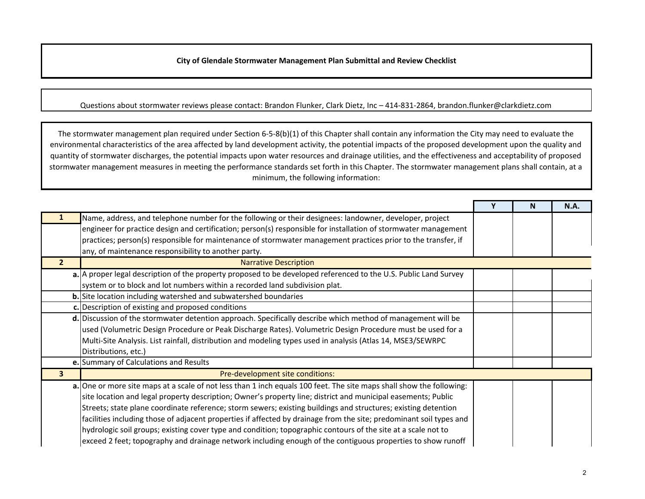**City of Glendale Stormwater Management Plan Submittal and Review Checklist**

## Questions about stormwater reviews please contact: Brandon Flunker, Clark Dietz, Inc – 414-831-2864, brandon.flunker@clarkdietz.com

The stormwater management plan required under Section 6‐5‐8(b)(1) of this Chapter shall contain any information the City may need to evaluate the environmental characteristics of the area affected by land development activity, the potential impacts of the proposed development upon the quality and quantity of stormwater discharges, the potential impacts upon water resources and drainage utilities, and the effectiveness and acceptability of proposed stormwater management measures in meeting the performance standards set forth in this Chapter. The stormwater management plans shall contain, at <sup>a</sup> minimum, the following information:

|                         |                                                                                                                      |  | N | <b>N.A.</b> |  |
|-------------------------|----------------------------------------------------------------------------------------------------------------------|--|---|-------------|--|
|                         | Name, address, and telephone number for the following or their designees: landowner, developer, project              |  |   |             |  |
|                         | engineer for practice design and certification; person(s) responsible for installation of stormwater management      |  |   |             |  |
|                         | practices; person(s) responsible for maintenance of stormwater management practices prior to the transfer, if        |  |   |             |  |
|                         | any, of maintenance responsibility to another party.                                                                 |  |   |             |  |
| 2 <sup>2</sup>          | <b>Narrative Description</b>                                                                                         |  |   |             |  |
|                         | a. A proper legal description of the property proposed to be developed referenced to the U.S. Public Land Survey     |  |   |             |  |
|                         | system or to block and lot numbers within a recorded land subdivision plat.                                          |  |   |             |  |
|                         | <b>b.</b> Site location including watershed and subwatershed boundaries                                              |  |   |             |  |
|                         | c. Description of existing and proposed conditions                                                                   |  |   |             |  |
|                         | d. Discussion of the stormwater detention approach. Specifically describe which method of management will be         |  |   |             |  |
|                         | used (Volumetric Design Procedure or Peak Discharge Rates). Volumetric Design Procedure must be used for a           |  |   |             |  |
|                         | Multi-Site Analysis. List rainfall, distribution and modeling types used in analysis (Atlas 14, MSE3/SEWRPC          |  |   |             |  |
|                         | Distributions, etc.)                                                                                                 |  |   |             |  |
|                         | e. Summary of Calculations and Results                                                                               |  |   |             |  |
| $\overline{\mathbf{3}}$ | Pre-development site conditions:                                                                                     |  |   |             |  |
|                         | a. One or more site maps at a scale of not less than 1 inch equals 100 feet. The site maps shall show the following: |  |   |             |  |
|                         | site location and legal property description; Owner's property line; district and municipal easements; Public        |  |   |             |  |
|                         | Streets; state plane coordinate reference; storm sewers; existing buildings and structures; existing detention       |  |   |             |  |
|                         | facilities including those of adjacent properties if affected by drainage from the site; predominant soil types and  |  |   |             |  |
|                         | hydrologic soil groups; existing cover type and condition; topographic contours of the site at a scale not to        |  |   |             |  |
|                         | exceed 2 feet; topography and drainage network including enough of the contiguous properties to show runoff          |  |   |             |  |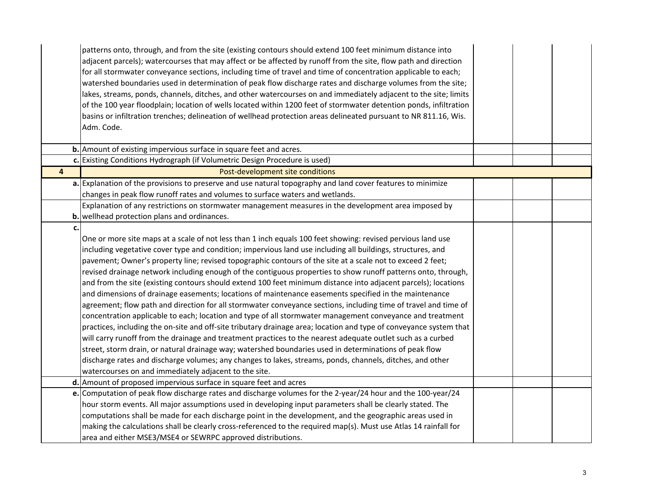|                         | patterns onto, through, and from the site (existing contours should extend 100 feet minimum distance into<br>adjacent parcels); watercourses that may affect or be affected by runoff from the site, flow path and direction<br>for all stormwater conveyance sections, including time of travel and time of concentration applicable to each;<br>watershed boundaries used in determination of peak flow discharge rates and discharge volumes from the site;<br>lakes, streams, ponds, channels, ditches, and other watercourses on and immediately adjacent to the site; limits<br>of the 100 year floodplain; location of wells located within 1200 feet of stormwater detention ponds, infiltration<br>basins or infiltration trenches; delineation of wellhead protection areas delineated pursuant to NR 811.16, Wis.<br>Adm. Code. |  |
|-------------------------|--------------------------------------------------------------------------------------------------------------------------------------------------------------------------------------------------------------------------------------------------------------------------------------------------------------------------------------------------------------------------------------------------------------------------------------------------------------------------------------------------------------------------------------------------------------------------------------------------------------------------------------------------------------------------------------------------------------------------------------------------------------------------------------------------------------------------------------------|--|
|                         | <b>b.</b> Amount of existing impervious surface in square feet and acres.                                                                                                                                                                                                                                                                                                                                                                                                                                                                                                                                                                                                                                                                                                                                                                  |  |
|                         | c. Existing Conditions Hydrograph (if Volumetric Design Procedure is used)                                                                                                                                                                                                                                                                                                                                                                                                                                                                                                                                                                                                                                                                                                                                                                 |  |
| $\overline{\mathbf{4}}$ | Post-development site conditions                                                                                                                                                                                                                                                                                                                                                                                                                                                                                                                                                                                                                                                                                                                                                                                                           |  |
|                         | a. Explanation of the provisions to preserve and use natural topography and land cover features to minimize                                                                                                                                                                                                                                                                                                                                                                                                                                                                                                                                                                                                                                                                                                                                |  |
|                         | changes in peak flow runoff rates and volumes to surface waters and wetlands.                                                                                                                                                                                                                                                                                                                                                                                                                                                                                                                                                                                                                                                                                                                                                              |  |
|                         | Explanation of any restrictions on stormwater management measures in the development area imposed by                                                                                                                                                                                                                                                                                                                                                                                                                                                                                                                                                                                                                                                                                                                                       |  |
|                         | <b>b.</b> wellhead protection plans and ordinances.                                                                                                                                                                                                                                                                                                                                                                                                                                                                                                                                                                                                                                                                                                                                                                                        |  |
| c.                      |                                                                                                                                                                                                                                                                                                                                                                                                                                                                                                                                                                                                                                                                                                                                                                                                                                            |  |
|                         | One or more site maps at a scale of not less than 1 inch equals 100 feet showing: revised pervious land use                                                                                                                                                                                                                                                                                                                                                                                                                                                                                                                                                                                                                                                                                                                                |  |
|                         | including vegetative cover type and condition; impervious land use including all buildings, structures, and                                                                                                                                                                                                                                                                                                                                                                                                                                                                                                                                                                                                                                                                                                                                |  |
|                         | pavement; Owner's property line; revised topographic contours of the site at a scale not to exceed 2 feet;                                                                                                                                                                                                                                                                                                                                                                                                                                                                                                                                                                                                                                                                                                                                 |  |
|                         | revised drainage network including enough of the contiguous properties to show runoff patterns onto, through,                                                                                                                                                                                                                                                                                                                                                                                                                                                                                                                                                                                                                                                                                                                              |  |
|                         | and from the site (existing contours should extend 100 feet minimum distance into adjacent parcels); locations                                                                                                                                                                                                                                                                                                                                                                                                                                                                                                                                                                                                                                                                                                                             |  |
|                         | and dimensions of drainage easements; locations of maintenance easements specified in the maintenance                                                                                                                                                                                                                                                                                                                                                                                                                                                                                                                                                                                                                                                                                                                                      |  |
|                         | agreement; flow path and direction for all stormwater conveyance sections, including time of travel and time of                                                                                                                                                                                                                                                                                                                                                                                                                                                                                                                                                                                                                                                                                                                            |  |
|                         | concentration applicable to each; location and type of all stormwater management conveyance and treatment                                                                                                                                                                                                                                                                                                                                                                                                                                                                                                                                                                                                                                                                                                                                  |  |
|                         | practices, including the on-site and off-site tributary drainage area; location and type of conveyance system that                                                                                                                                                                                                                                                                                                                                                                                                                                                                                                                                                                                                                                                                                                                         |  |
|                         | will carry runoff from the drainage and treatment practices to the nearest adequate outlet such as a curbed                                                                                                                                                                                                                                                                                                                                                                                                                                                                                                                                                                                                                                                                                                                                |  |
|                         | street, storm drain, or natural drainage way; watershed boundaries used in determinations of peak flow                                                                                                                                                                                                                                                                                                                                                                                                                                                                                                                                                                                                                                                                                                                                     |  |
|                         | discharge rates and discharge volumes; any changes to lakes, streams, ponds, channels, ditches, and other                                                                                                                                                                                                                                                                                                                                                                                                                                                                                                                                                                                                                                                                                                                                  |  |
|                         | watercourses on and immediately adjacent to the site.                                                                                                                                                                                                                                                                                                                                                                                                                                                                                                                                                                                                                                                                                                                                                                                      |  |
|                         | d. Amount of proposed impervious surface in square feet and acres                                                                                                                                                                                                                                                                                                                                                                                                                                                                                                                                                                                                                                                                                                                                                                          |  |
|                         | e. Computation of peak flow discharge rates and discharge volumes for the 2-year/24 hour and the 100-year/24                                                                                                                                                                                                                                                                                                                                                                                                                                                                                                                                                                                                                                                                                                                               |  |
|                         | hour storm events. All major assumptions used in developing input parameters shall be clearly stated. The                                                                                                                                                                                                                                                                                                                                                                                                                                                                                                                                                                                                                                                                                                                                  |  |
|                         | computations shall be made for each discharge point in the development, and the geographic areas used in                                                                                                                                                                                                                                                                                                                                                                                                                                                                                                                                                                                                                                                                                                                                   |  |
|                         | making the calculations shall be clearly cross-referenced to the required map(s). Must use Atlas 14 rainfall for                                                                                                                                                                                                                                                                                                                                                                                                                                                                                                                                                                                                                                                                                                                           |  |
|                         | area and either MSE3/MSE4 or SEWRPC approved distributions.                                                                                                                                                                                                                                                                                                                                                                                                                                                                                                                                                                                                                                                                                                                                                                                |  |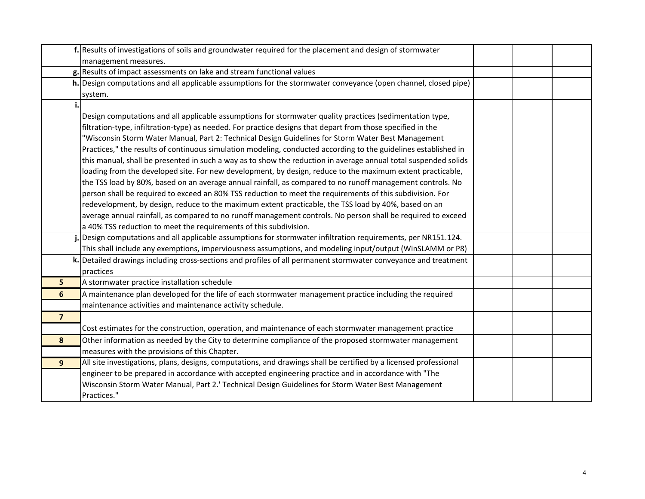|                | f. Results of investigations of soils and groundwater required for the placement and design of stormwater<br>management measures.                                                                                                                                                                                                                                                                                                                                                                                                                                                                                                                                                                                                                                                                                                                                                                                                                                                                                                                                                                                                                                                                         |  |  |
|----------------|-----------------------------------------------------------------------------------------------------------------------------------------------------------------------------------------------------------------------------------------------------------------------------------------------------------------------------------------------------------------------------------------------------------------------------------------------------------------------------------------------------------------------------------------------------------------------------------------------------------------------------------------------------------------------------------------------------------------------------------------------------------------------------------------------------------------------------------------------------------------------------------------------------------------------------------------------------------------------------------------------------------------------------------------------------------------------------------------------------------------------------------------------------------------------------------------------------------|--|--|
|                | g. Results of impact assessments on lake and stream functional values                                                                                                                                                                                                                                                                                                                                                                                                                                                                                                                                                                                                                                                                                                                                                                                                                                                                                                                                                                                                                                                                                                                                     |  |  |
|                | h. Design computations and all applicable assumptions for the stormwater conveyance (open channel, closed pipe)<br>system.                                                                                                                                                                                                                                                                                                                                                                                                                                                                                                                                                                                                                                                                                                                                                                                                                                                                                                                                                                                                                                                                                |  |  |
|                | Design computations and all applicable assumptions for stormwater quality practices (sedimentation type,<br>filtration-type, infiltration-type) as needed. For practice designs that depart from those specified in the<br>Wisconsin Storm Water Manual, Part 2: Technical Design Guidelines for Storm Water Best Management'<br>Practices," the results of continuous simulation modeling, conducted according to the guidelines established in<br>this manual, shall be presented in such a way as to show the reduction in average annual total suspended solids<br>loading from the developed site. For new development, by design, reduce to the maximum extent practicable,<br>the TSS load by 80%, based on an average annual rainfall, as compared to no runoff management controls. No<br>person shall be required to exceed an 80% TSS reduction to meet the requirements of this subdivision. For<br>redevelopment, by design, reduce to the maximum extent practicable, the TSS load by 40%, based on an<br>average annual rainfall, as compared to no runoff management controls. No person shall be required to exceed<br>a 40% TSS reduction to meet the requirements of this subdivision. |  |  |
|                | Design computations and all applicable assumptions for stormwater infiltration requirements, per NR151.124.<br>This shall include any exemptions, imperviousness assumptions, and modeling input/output (WinSLAMM or P8)                                                                                                                                                                                                                                                                                                                                                                                                                                                                                                                                                                                                                                                                                                                                                                                                                                                                                                                                                                                  |  |  |
|                | k. Detailed drawings including cross-sections and profiles of all permanent stormwater conveyance and treatment<br>practices                                                                                                                                                                                                                                                                                                                                                                                                                                                                                                                                                                                                                                                                                                                                                                                                                                                                                                                                                                                                                                                                              |  |  |
| 5 <sup>1</sup> | A stormwater practice installation schedule                                                                                                                                                                                                                                                                                                                                                                                                                                                                                                                                                                                                                                                                                                                                                                                                                                                                                                                                                                                                                                                                                                                                                               |  |  |
| 6              | A maintenance plan developed for the life of each stormwater management practice including the required<br>maintenance activities and maintenance activity schedule.                                                                                                                                                                                                                                                                                                                                                                                                                                                                                                                                                                                                                                                                                                                                                                                                                                                                                                                                                                                                                                      |  |  |
| $\overline{7}$ | Cost estimates for the construction, operation, and maintenance of each stormwater management practice                                                                                                                                                                                                                                                                                                                                                                                                                                                                                                                                                                                                                                                                                                                                                                                                                                                                                                                                                                                                                                                                                                    |  |  |
| 8              | Other information as needed by the City to determine compliance of the proposed stormwater management<br>measures with the provisions of this Chapter.                                                                                                                                                                                                                                                                                                                                                                                                                                                                                                                                                                                                                                                                                                                                                                                                                                                                                                                                                                                                                                                    |  |  |
| $\overline{9}$ | All site investigations, plans, designs, computations, and drawings shall be certified by a licensed professional<br>engineer to be prepared in accordance with accepted engineering practice and in accordance with "The<br>Wisconsin Storm Water Manual, Part 2.' Technical Design Guidelines for Storm Water Best Management<br>Practices."                                                                                                                                                                                                                                                                                                                                                                                                                                                                                                                                                                                                                                                                                                                                                                                                                                                            |  |  |